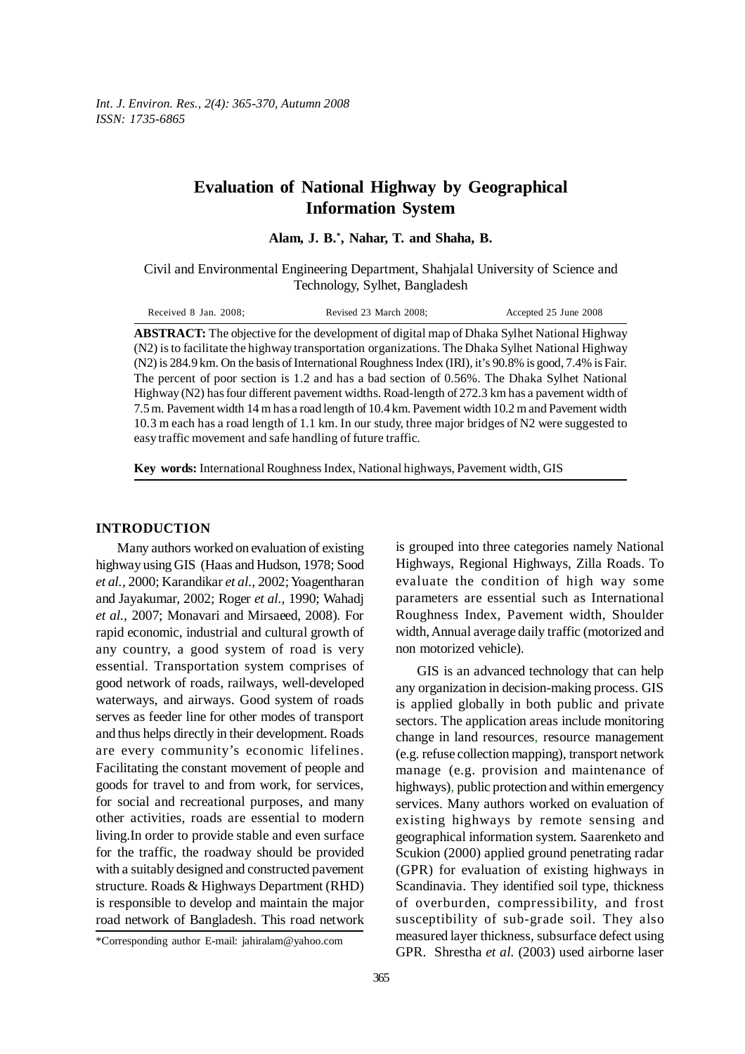*Int. J. Environ. Res., 2(4): 365-370, Autumn 2008 ISSN: 1735-6865*

# **Evaluation of National Highway by Geographical Information System**

**Alam, J. B.\* , Nahar, T. and Shaha, B.**

Civil and Environmental Engineering Department, Shahjalal University of Science and Technology, Sylhet, Bangladesh

| Received 8 Jan. 2008; | Revised 23 March 2008;                                                                             | Accepted 25 June 2008 |
|-----------------------|----------------------------------------------------------------------------------------------------|-----------------------|
|                       | <b>RETD A CT.</b> The objective for the development of digital man of Dhaka Sylbet National Highwa |                       |

**ABSTRACT:** The objective for the development of digital map of Dhaka Sylhet National Highway (N2) is to facilitate the highway transportation organizations. The Dhaka Sylhet National Highway (N2) is 284.9 km. On the basis of International Roughness Index (IRI), it's 90.8% is good, 7.4% is Fair. The percent of poor section is 1.2 and has a bad section of 0.56%. The Dhaka Sylhet National Highway (N2) has four different pavement widths. Road-length of 272.3 km has a pavement width of 7.5 m. Pavement width 14 m has a road length of 10.4 km. Pavement width 10.2 m and Pavement width 10.3 m each has a road length of 1.1 km. In our study, three major bridges of N2 were suggested to easy traffic movement and safe handling of future traffic.

**Key words:** International Roughness Index, National highways, Pavement width, GIS

## **INTRODUCTION**

Many authors worked on evaluation of existing highway using GIS (Haas and Hudson, 1978; Sood *et al.,* 2000; Karandikar *et al.,* 2002; Yoagentharan and Jayakumar, 2002; Roger *et al.,* 1990; Wahadj *et al.,* 2007; Monavari and Mirsaeed, 2008). For rapid economic, industrial and cultural growth of any country, a good system of road is very essential. Transportation system comprises of good network of roads, railways, well-developed waterways, and airways. Good system of roads serves as feeder line for other modes of transport and thus helps directly in their development. Roads are every community's economic lifelines. Facilitating the constant movement of people and goods for travel to and from work, for services, for social and recreational purposes, and many other activities, roads are essential to modern living.In order to provide stable and even surface for the traffic, the roadway should be provided with a suitably designed and constructed pavement structure. Roads & Highways Department (RHD) is responsible to develop and maintain the major road network of Bangladesh. This road network

is grouped into three categories namely National Highways, Regional Highways, Zilla Roads. To evaluate the condition of high way some parameters are essential such as International Roughness Index, Pavement width, Shoulder width, Annual average daily traffic (motorized and non motorized vehicle).

GIS is an advanced technology that can help any organization in decision-making process. GIS is applied globally in both public and private sectors. The application areas include monitoring change in land resources, resource management (e.g. refuse collection mapping), transport network manage (e.g. provision and maintenance of highways), public protection and within emergency services. Many authors worked on evaluation of existing highways by remote sensing and geographical information system. Saarenketo and Scukion (2000) applied ground penetrating radar (GPR) for evaluation of existing highways in Scandinavia. They identified soil type, thickness of overburden, compressibility, and frost susceptibility of sub-grade soil. They also measured layer thickness, subsurface defect using GPR. Shrestha *et al.* (2003) used airborne laser

<sup>\*</sup>Corresponding author E-mail: jahiralam@yahoo.com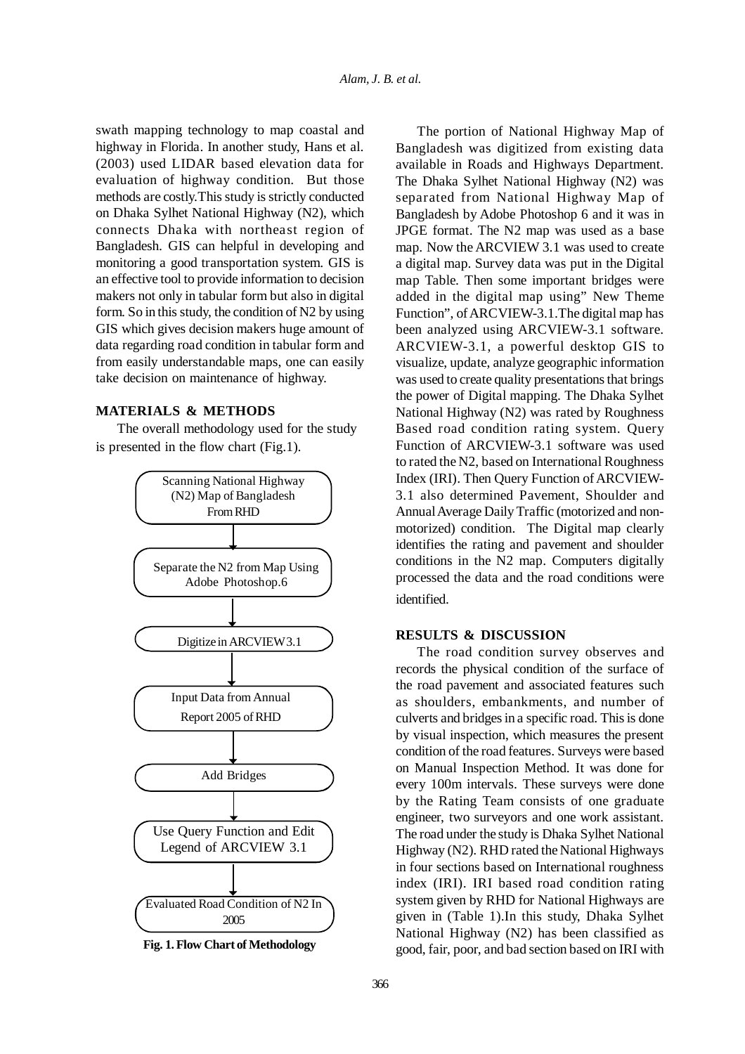swath mapping technology to map coastal and highway in Florida. In another study, Hans et al. (2003) used LIDAR based elevation data for evaluation of highway condition. But those methods are costly.This study is strictly conducted on Dhaka Sylhet National Highway (N2), which connects Dhaka with northeast region of Bangladesh. GIS can helpful in developing and monitoring a good transportation system. GIS is an effective tool to provide information to decision makers not only in tabular form but also in digital form. So in this study, the condition of N2 by using GIS which gives decision makers huge amount of data regarding road condition in tabular form and from easily understandable maps, one can easily take decision on maintenance of highway.

# **MATERIALS & METHODS**

The overall methodology used for the study is presented in the flow chart (Fig.1).



**Fig. 1. Flow Chart of Methodology**

The portion of National Highway Map of Bangladesh was digitized from existing data available in Roads and Highways Department. The Dhaka Sylhet National Highway (N2) was separated from National Highway Map of Bangladesh by Adobe Photoshop 6 and it was in JPGE format. The N2 map was used as a base map. Now the ARCVIEW 3.1 was used to create a digital map. Survey data was put in the Digital map Table. Then some important bridges were added in the digital map using" New Theme Function", of ARCVIEW-3.1.The digital map has been analyzed using ARCVIEW-3.1 software. ARCVIEW-3.1, a powerful desktop GIS to visualize, update, analyze geographic information was used to create quality presentations that brings the power of Digital mapping. The Dhaka Sylhet National Highway (N2) was rated by Roughness Based road condition rating system. Query Function of ARCVIEW-3.1 software was used to rated the N2, based on International Roughness Index (IRI). Then Query Function of ARCVIEW-3.1 also determined Pavement, Shoulder and Annual Average Daily Traffic (motorized and nonmotorized) condition. The Digital map clearly identifies the rating and pavement and shoulder conditions in the N2 map. Computers digitally processed the data and the road conditions were identified.

## **RESULTS & DISCUSSION**

The road condition survey observes and records the physical condition of the surface of the road pavement and associated features such as shoulders, embankments, and number of culverts and bridges in a specific road. This is done by visual inspection, which measures the present condition of the road features. Surveys were based on Manual Inspection Method. It was done for every 100m intervals. These surveys were done by the Rating Team consists of one graduate engineer, two surveyors and one work assistant. The road under the study is Dhaka Sylhet National Highway (N2). RHD rated the National Highways in four sections based on International roughness index (IRI). IRI based road condition rating system given by RHD for National Highways are given in (Table 1).In this study, Dhaka Sylhet National Highway (N2) has been classified as good, fair, poor, and bad section based on IRI with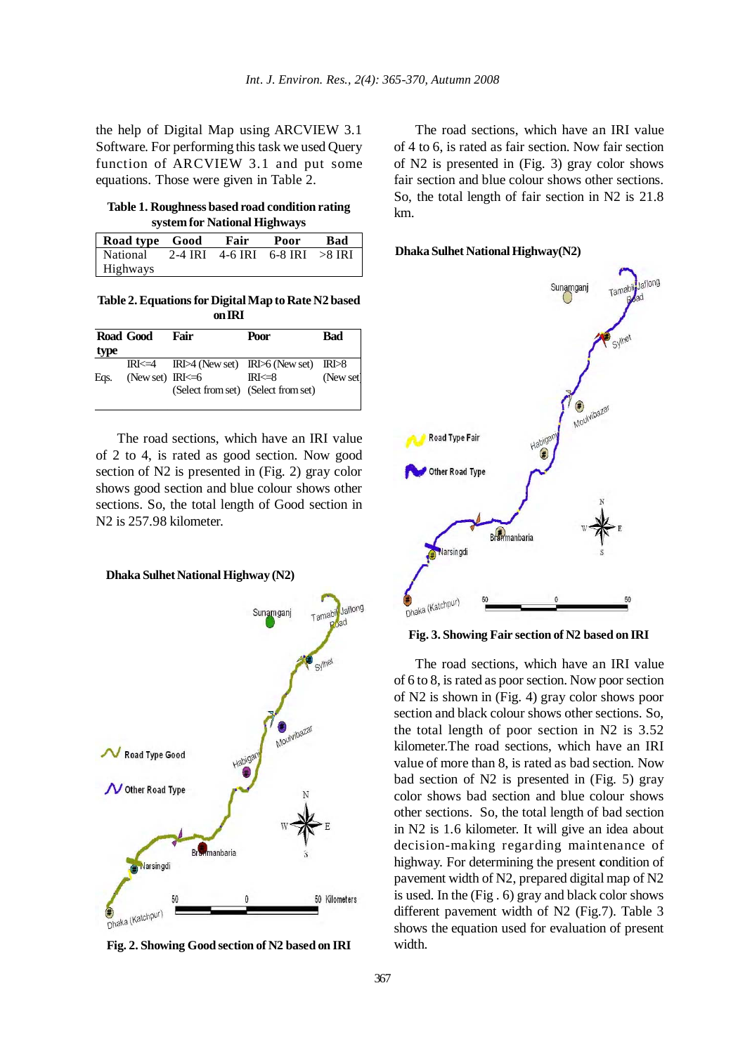the help of Digital Map using ARCVIEW 3.1 Software. For performing this task we used Query function of ARCVIEW 3.1 and put some equations. Those were given in Table 2.

## **Table 1. Roughness based road condition rating system for National Highways**

| Road type Good Fair                                |  | Poor | Bad |
|----------------------------------------------------|--|------|-----|
| $\sqrt{$ National 2-4 IRI 4-6 IRI 6-8 IRI $>8$ IRI |  |      |     |
| Highways                                           |  |      |     |

**Table 2. Equations for Digital Map to Rate N2 based on IRI**

|              | Road Good              | Fair | Poor                                                                                                                            | Bad       |
|--------------|------------------------|------|---------------------------------------------------------------------------------------------------------------------------------|-----------|
| type<br>Eas. | (New set) $IRI \leq 6$ |      | $IRI \leq 4$ $IRI \rtimes (New set)$ $IRI \rhd 6$ (New set) $IRI \rhd 8$<br>$IRl \leq 8$<br>(Select from set) (Select from set) | (New set) |

The road sections, which have an IRI value of 2 to 4, is rated as good section. Now good section of N2 is presented in (Fig. 2) gray color shows good section and blue colour shows other sections. So, the total length of Good section in N2 is 257.98 kilometer.

**Dhaka Sulhet National Highway (N2)**



**Fig. 2. Showing Good section of N2 based on IRI**

The road sections, which have an IRI value of 4 to 6, is rated as fair section. Now fair section of N2 is presented in (Fig. 3) gray color shows fair section and blue colour shows other sections. So, the total length of fair section in N2 is 21.8 km.

#### **Dhaka Sulhet National Highway(N2)**



**Fig. 3. Showing Fair section of N2 based on IRI**

The road sections, which have an IRI value of 6 to 8, is rated as poor section. Now poor section of N2 is shown in (Fig. 4) gray color shows poor section and black colour shows other sections. So, the total length of poor section in N2 is 3.52 kilometer.The road sections, which have an IRI value of more than 8, is rated as bad section. Now bad section of N2 is presented in (Fig. 5) gray color shows bad section and blue colour shows other sections. So, the total length of bad section in N2 is 1.6 kilometer. It will give an idea about decision-making regarding maintenance of highway. For determining the present **c**ondition of pavement width of N2, prepared digital map of N2 is used. In the (Fig . 6) gray and black color shows different pavement width of N2 (Fig.7). Table 3 shows the equation used for evaluation of present width.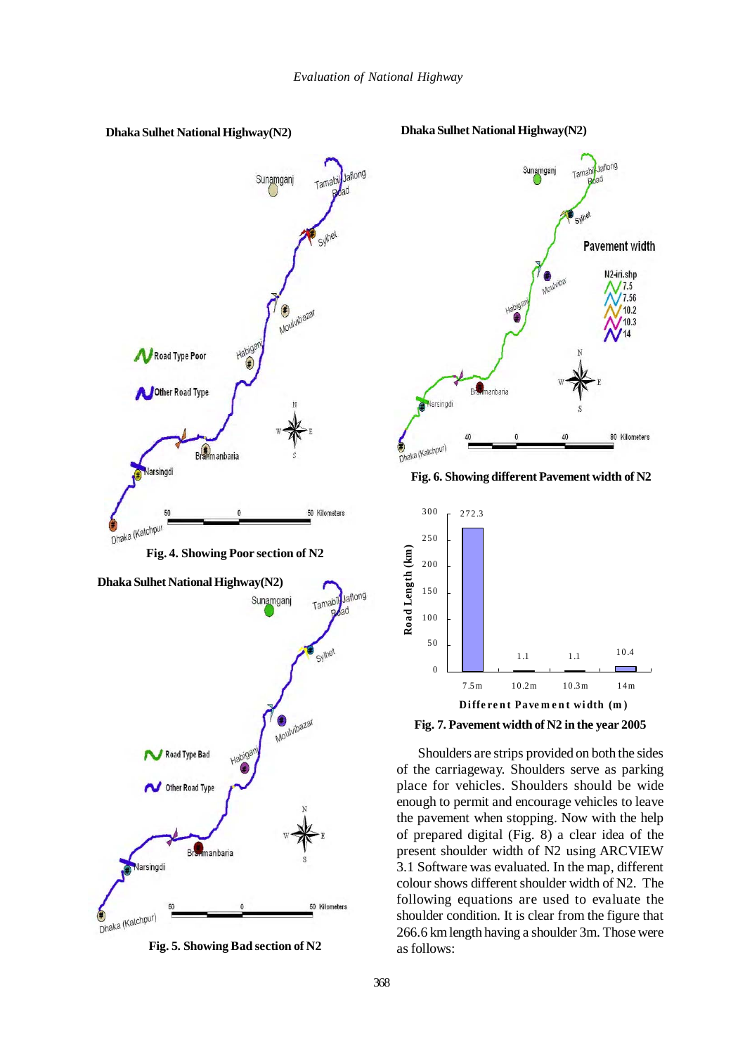

**Fig. 5. Showing Bad section of N2**



**Fig. 6. Showing different Pavement width of N2**



**Fig. 7. Pavement width of N2 in the year 2005**

Shoulders are strips provided on both the sides of the carriageway. Shoulders serve as parking place for vehicles. Shoulders should be wide enough to permit and encourage vehicles to leave the pavement when stopping. Now with the help of prepared digital (Fig. 8) a clear idea of the present shoulder width of N2 using ARCVIEW 3.1 Software was evaluated. In the map, different colour shows different shoulder width of N2. The following equations are used to evaluate the shoulder condition. It is clear from the figure that 266.6 km length having a shoulder 3m. Those were as follows: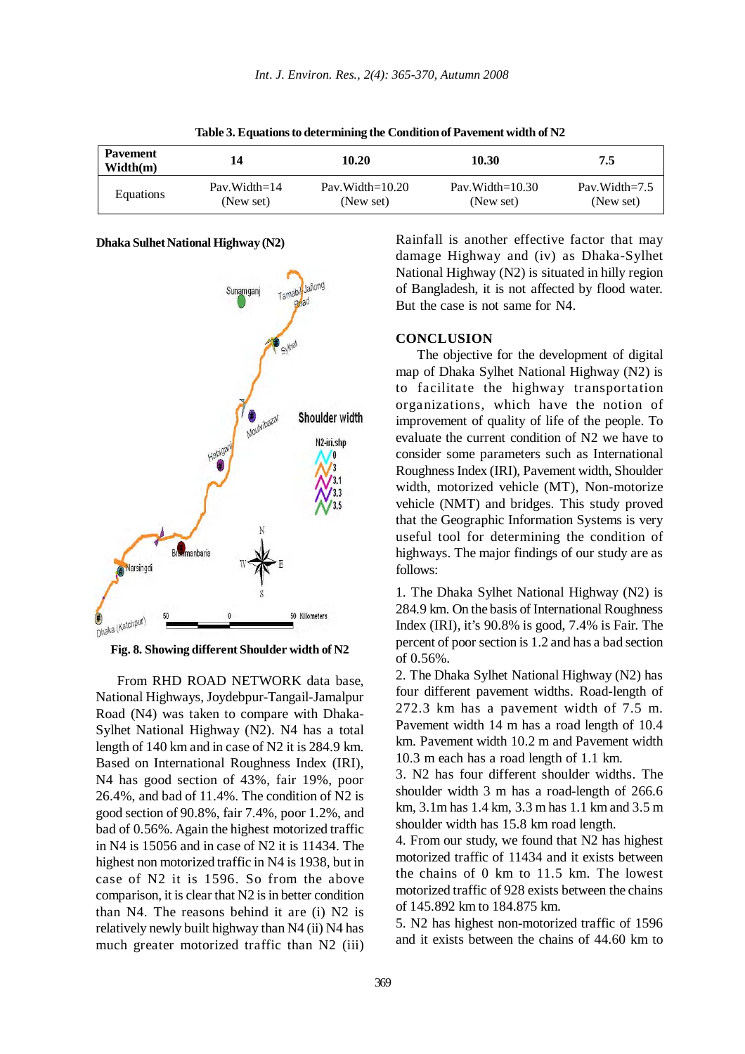| <b>Pavement</b><br>Width(m) | 14              | 10.20               | 10.30              | 7.5               |
|-----------------------------|-----------------|---------------------|--------------------|-------------------|
| Equations                   | $Pav. Width=14$ | Pav. Width= $10.20$ | Pav.Width= $10.30$ | Pav. Width= $7.5$ |
|                             | (New set)       | (New set)           | (New set)          | (New set)         |

**Table 3. Equations to determining the Condition of Pavement width of N2**

#### **Dhaka Sulhet National Highway (N2)**



**Fig. 8. Showing different Shoulder width of N2**

From RHD ROAD NETWORK data base, National Highways, Joydebpur-Tangail-Jamalpur Road (N4) was taken to compare with Dhaka-Sylhet National Highway (N2). N4 has a total length of 140 km and in case of N2 it is 284.9 km. Based on International Roughness Index (IRI), N4 has good section of 43%, fair 19%, poor 26.4%, and bad of 11.4%. The condition of N2 is good section of 90.8%, fair 7.4%, poor 1.2%, and bad of 0.56%. Again the highest motorized traffic in N4 is 15056 and in case of N2 it is 11434. The highest non motorized traffic in N4 is 1938, but in case of N2 it is 1596. So from the above comparison, it is clear that N2 is in better condition than N4. The reasons behind it are (i) N2 is relatively newly built highway than N4 (ii) N4 has much greater motorized traffic than N2 (iii) Rainfall is another effective factor that may damage Highway and (iv) as Dhaka-Sylhet National Highway (N2) is situated in hilly region of Bangladesh, it is not affected by flood water. But the case is not same for N4.

# **CONCLUSION**

The objective for the development of digital map of Dhaka Sylhet National Highway (N2) is to facilitate the highway transportation organizations, which have the notion of improvement of quality of life of the people. To evaluate the current condition of N2 we have to consider some parameters such as International Roughness Index (IRI), Pavement width, Shoulder width, motorized vehicle (MT), Non-motorize vehicle (NMT) and bridges. This study proved that the Geographic Information Systems is very useful tool for determining the condition of highways. The major findings of our study are as follows:

1. The Dhaka Sylhet National Highway (N2) is 284.9 km. On the basis of International Roughness Index (IRI), it's 90.8% is good, 7.4% is Fair. The percent of poor section is 1.2 and has a bad section of 0.56%.

2. The Dhaka Sylhet National Highway (N2) has four different pavement widths. Road-length of 272.3 km has a pavement width of 7.5 m. Pavement width 14 m has a road length of 10.4 km. Pavement width 10.2 m and Pavement width 10.3 m each has a road length of 1.1 km.

3. N2 has four different shoulder widths. The shoulder width 3 m has a road-length of 266.6 km, 3.1m has 1.4 km, 3.3 m has 1.1 km and 3.5 m shoulder width has 15.8 km road length.

4. From our study, we found that N2 has highest motorized traffic of 11434 and it exists between the chains of 0 km to 11.5 km. The lowest motorized traffic of 928 exists between the chains of 145.892 km to 184.875 km.

5. N2 has highest non-motorized traffic of 1596 and it exists between the chains of 44.60 km to